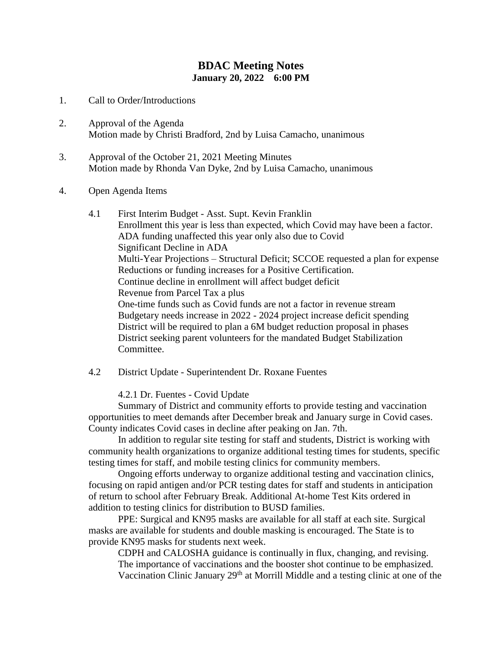## **BDAC Meeting Notes January 20, 2022 6:00 PM**

- 1. Call to Order/Introductions
- 2. Approval of the Agenda Motion made by Christi Bradford, 2nd by Luisa Camacho, unanimous
- 3. Approval of the October 21, 2021 Meeting Minutes Motion made by Rhonda Van Dyke, 2nd by Luisa Camacho, unanimous

## 4. Open Agenda Items

- 4.1 First Interim Budget Asst. Supt. Kevin Franklin Enrollment this year is less than expected, which Covid may have been a factor. ADA funding unaffected this year only also due to Covid Significant Decline in ADA Multi-Year Projections – Structural Deficit; SCCOE requested a plan for expense Reductions or funding increases for a Positive Certification. Continue decline in enrollment will affect budget deficit Revenue from Parcel Tax a plus One-time funds such as Covid funds are not a factor in revenue stream Budgetary needs increase in 2022 - 2024 project increase deficit spending District will be required to plan a 6M budget reduction proposal in phases District seeking parent volunteers for the mandated Budget Stabilization Committee.
- 4.2 District Update Superintendent Dr. Roxane Fuentes

4.2.1 Dr. Fuentes - Covid Update

Summary of District and community efforts to provide testing and vaccination opportunities to meet demands after December break and January surge in Covid cases. County indicates Covid cases in decline after peaking on Jan. 7th.

In addition to regular site testing for staff and students, District is working with community health organizations to organize additional testing times for students, specific testing times for staff, and mobile testing clinics for community members.

Ongoing efforts underway to organize additional testing and vaccination clinics, focusing on rapid antigen and/or PCR testing dates for staff and students in anticipation of return to school after February Break. Additional At-home Test Kits ordered in addition to testing clinics for distribution to BUSD families.

PPE: Surgical and KN95 masks are available for all staff at each site. Surgical masks are available for students and double masking is encouraged. The State is to provide KN95 masks for students next week.

CDPH and CALOSHA guidance is continually in flux, changing, and revising. The importance of vaccinations and the booster shot continue to be emphasized. Vaccination Clinic January 29<sup>th</sup> at Morrill Middle and a testing clinic at one of the